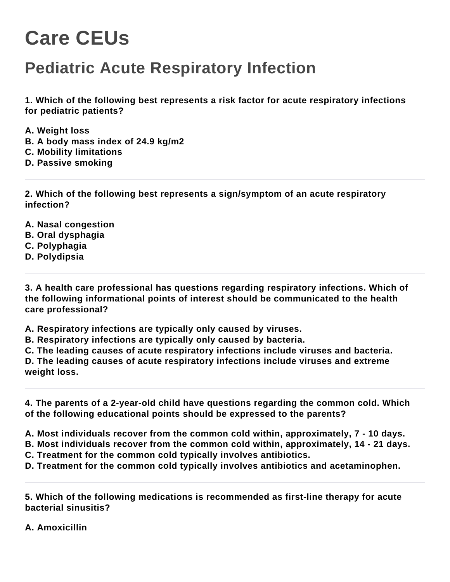## **Care CEUs**

## **Pediatric Acute Respiratory Infection**

**1. Which of the following best represents a risk factor for acute respiratory infections for pediatric patients?**

- **A. Weight loss**
- **B. A body mass index of 24.9 kg/m2**
- **C. Mobility limitations**
- **D. Passive smoking**

**2. Which of the following best represents a sign/symptom of an acute respiratory infection?**

- **A. Nasal congestion**
- **B. Oral dysphagia**
- **C. Polyphagia**
- **D. Polydipsia**

**3. A health care professional has questions regarding respiratory infections. Which of the following informational points of interest should be communicated to the health care professional?**

**A. Respiratory infections are typically only caused by viruses.**

**B. Respiratory infections are typically only caused by bacteria.**

**C. The leading causes of acute respiratory infections include viruses and bacteria.**

**D. The leading causes of acute respiratory infections include viruses and extreme weight loss.**

**4. The parents of a 2-year-old child have questions regarding the common cold. Which of the following educational points should be expressed to the parents?**

**A. Most individuals recover from the common cold within, approximately, 7 - 10 days.**

**B. Most individuals recover from the common cold within, approximately, 14 - 21 days.**

**C. Treatment for the common cold typically involves antibiotics.**

**D. Treatment for the common cold typically involves antibiotics and acetaminophen.**

**5. Which of the following medications is recommended as first-line therapy for acute bacterial sinusitis?**

**A. Amoxicillin**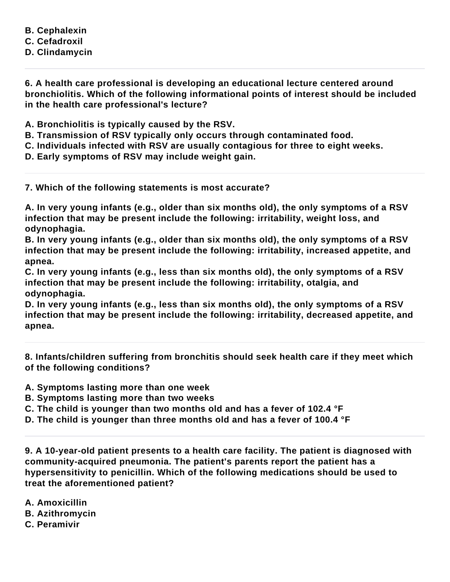**B. Cephalexin C. Cefadroxil D. Clindamycin**

**6. A health care professional is developing an educational lecture centered around bronchiolitis. Which of the following informational points of interest should be included in the health care professional's lecture?**

**A. Bronchiolitis is typically caused by the RSV.**

- **B. Transmission of RSV typically only occurs through contaminated food.**
- **C. Individuals infected with RSV are usually contagious for three to eight weeks.**
- **D. Early symptoms of RSV may include weight gain.**
- **7. Which of the following statements is most accurate?**

**A. In very young infants (e.g., older than six months old), the only symptoms of a RSV infection that may be present include the following: irritability, weight loss, and odynophagia.**

**B. In very young infants (e.g., older than six months old), the only symptoms of a RSV infection that may be present include the following: irritability, increased appetite, and apnea.**

**C. In very young infants (e.g., less than six months old), the only symptoms of a RSV infection that may be present include the following: irritability, otalgia, and odynophagia.**

**D. In very young infants (e.g., less than six months old), the only symptoms of a RSV infection that may be present include the following: irritability, decreased appetite, and apnea.**

**8. Infants/children suffering from bronchitis should seek health care if they meet which of the following conditions?**

- **A. Symptoms lasting more than one week**
- **B. Symptoms lasting more than two weeks**
- **C. The child is younger than two months old and has a fever of 102.4 °F**
- **D. The child is younger than three months old and has a fever of 100.4 °F**

**9. A 10-year-old patient presents to a health care facility. The patient is diagnosed with community-acquired pneumonia. The patient's parents report the patient has a hypersensitivity to penicillin. Which of the following medications should be used to treat the aforementioned patient?**

**A. Amoxicillin B. Azithromycin C. Peramivir**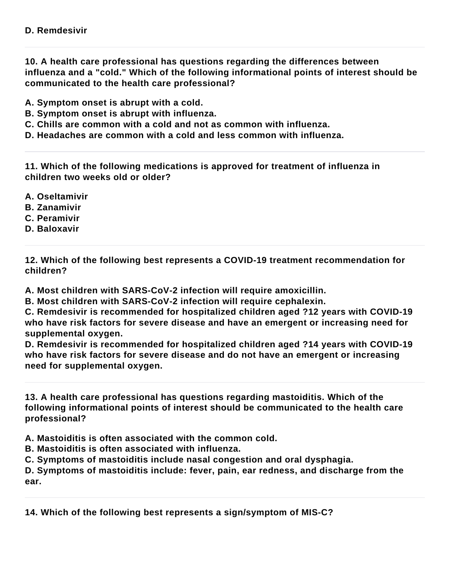**10. A health care professional has questions regarding the differences between influenza and a "cold." Which of the following informational points of interest should be communicated to the health care professional?**

**A. Symptom onset is abrupt with a cold.**

**B. Symptom onset is abrupt with influenza.**

**C. Chills are common with a cold and not as common with influenza.**

**D. Headaches are common with a cold and less common with influenza.**

**11. Which of the following medications is approved for treatment of influenza in children two weeks old or older?**

- **A. Oseltamivir**
- **B. Zanamivir**
- **C. Peramivir**
- **D. Baloxavir**

**12. Which of the following best represents a COVID-19 treatment recommendation for children?**

**A. Most children with SARS-CoV-2 infection will require amoxicillin.**

**B. Most children with SARS-CoV-2 infection will require cephalexin.**

**C. Remdesivir is recommended for hospitalized children aged ?12 years with COVID-19 who have risk factors for severe disease and have an emergent or increasing need for supplemental oxygen.**

**D. Remdesivir is recommended for hospitalized children aged ?14 years with COVID-19 who have risk factors for severe disease and do not have an emergent or increasing need for supplemental oxygen.**

**13. A health care professional has questions regarding mastoiditis. Which of the following informational points of interest should be communicated to the health care professional?**

**A. Mastoiditis is often associated with the common cold.**

**B. Mastoiditis is often associated with influenza.**

**C. Symptoms of mastoiditis include nasal congestion and oral dysphagia.**

**D. Symptoms of mastoiditis include: fever, pain, ear redness, and discharge from the ear.**

**14. Which of the following best represents a sign/symptom of MIS-C?**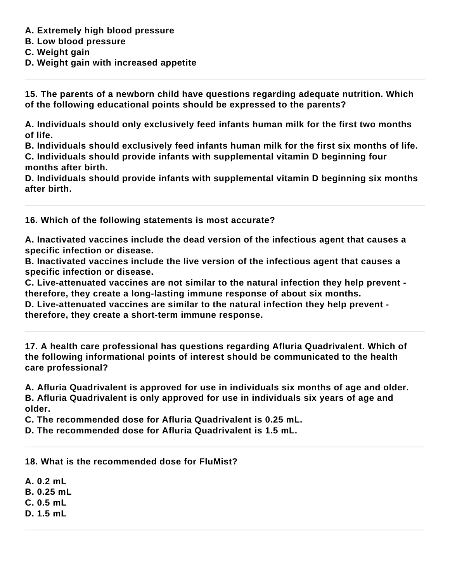- **A. Extremely high blood pressure**
- **B. Low blood pressure**
- **C. Weight gain**
- **D. Weight gain with increased appetite**

**15. The parents of a newborn child have questions regarding adequate nutrition. Which of the following educational points should be expressed to the parents?**

**A. Individuals should only exclusively feed infants human milk for the first two months of life.**

**B. Individuals should exclusively feed infants human milk for the first six months of life. C. Individuals should provide infants with supplemental vitamin D beginning four months after birth.**

**D. Individuals should provide infants with supplemental vitamin D beginning six months after birth.**

**16. Which of the following statements is most accurate?**

**A. Inactivated vaccines include the dead version of the infectious agent that causes a specific infection or disease.**

**B. Inactivated vaccines include the live version of the infectious agent that causes a specific infection or disease.**

**C. Live-attenuated vaccines are not similar to the natural infection they help prevent therefore, they create a long-lasting immune response of about six months.**

**D. Live-attenuated vaccines are similar to the natural infection they help prevent therefore, they create a short-term immune response.**

**17. A health care professional has questions regarding Afluria Quadrivalent. Which of the following informational points of interest should be communicated to the health care professional?**

**A. Afluria Quadrivalent is approved for use in individuals six months of age and older. B. Afluria Quadrivalent is only approved for use in individuals six years of age and older.**

**C. The recommended dose for Afluria Quadrivalent is 0.25 mL.**

**D. The recommended dose for Afluria Quadrivalent is 1.5 mL.**

**18. What is the recommended dose for FluMist?**

**A. 0.2 mL**

**B. 0.25 mL**

**C. 0.5 mL**

**D. 1.5 mL**